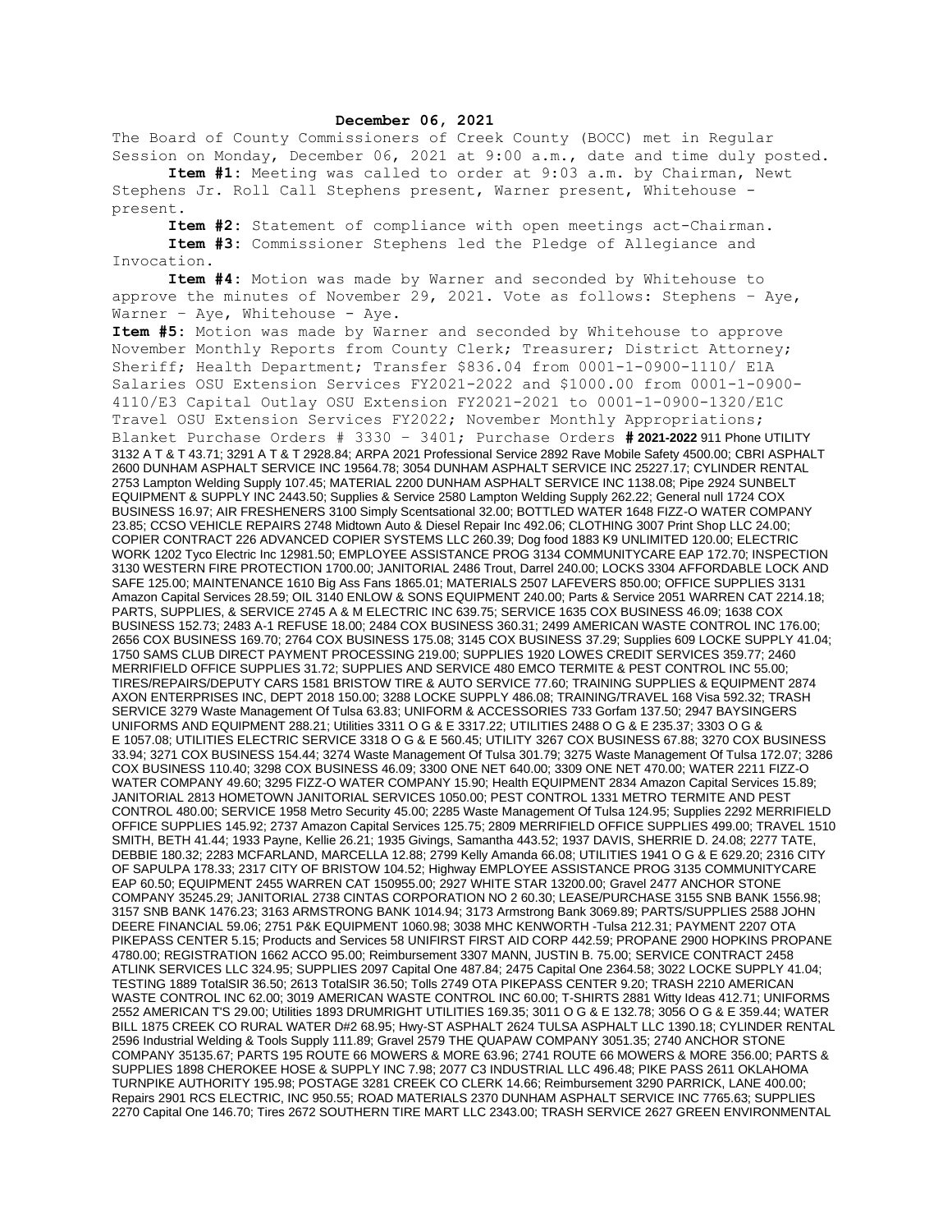## **December 06, 2021**

The Board of County Commissioners of Creek County (BOCC) met in Regular Session on Monday, December 06, 2021 at 9:00 a.m., date and time duly posted.

**Item #1:** Meeting was called to order at 9:03 a.m. by Chairman, Newt Stephens Jr. Roll Call Stephens present, Warner present, Whitehouse present.

**Item #2:** Statement of compliance with open meetings act-Chairman. **Item #3:** Commissioner Stephens led the Pledge of Allegiance and Invocation.

**Item #4:** Motion was made by Warner and seconded by Whitehouse to approve the minutes of November 29, 2021. Vote as follows: Stephens – Aye, Warner - Aye, Whitehouse - Aye.

**Item #5:** Motion was made by Warner and seconded by Whitehouse to approve November Monthly Reports from County Clerk; Treasurer; District Attorney; Sheriff; Health Department; Transfer \$836.04 from 0001-1-0900-1110/ E1A Salaries OSU Extension Services FY2021-2022 and \$1000.00 from 0001-1-0900- 4110/E3 Capital Outlay OSU Extension FY2021-2021 to 0001-1-0900-1320/E1C Travel OSU Extension Services FY2022; November Monthly Appropriations; Blanket Purchase Orders # 3330 – 3401; Purchase Orders **# 2021-2022** 911 Phone UTILITY 3132 A T & T 43.71; 3291 A T & T 2928.84; ARPA 2021 Professional Service 2892 Rave Mobile Safety 4500.00; CBRI ASPHALT 2600 DUNHAM ASPHALT SERVICE INC 19564.78; 3054 DUNHAM ASPHALT SERVICE INC 25227.17; CYLINDER RENTAL 2753 Lampton Welding Supply 107.45; MATERIAL 2200 DUNHAM ASPHALT SERVICE INC 1138.08; Pipe 2924 SUNBELT EQUIPMENT & SUPPLY INC 2443.50; Supplies & Service 2580 Lampton Welding Supply 262.22; General null 1724 COX BUSINESS 16.97; AIR FRESHENERS 3100 Simply Scentsational 32.00; BOTTLED WATER 1648 FIZZ-O WATER COMPANY 23.85; CCSO VEHICLE REPAIRS 2748 Midtown Auto & Diesel Repair Inc 492.06; CLOTHING 3007 Print Shop LLC 24.00; COPIER CONTRACT 226 ADVANCED COPIER SYSTEMS LLC 260.39; Dog food 1883 K9 UNLIMITED 120.00; ELECTRIC WORK 1202 Tyco Electric Inc 12981.50; EMPLOYEE ASSISTANCE PROG 3134 COMMUNITYCARE EAP 172.70; INSPECTION 3130 WESTERN FIRE PROTECTION 1700.00; JANITORIAL 2486 Trout, Darrel 240.00; LOCKS 3304 AFFORDABLE LOCK AND SAFE 125.00; MAINTENANCE 1610 Big Ass Fans 1865.01; MATERIALS 2507 LAFEVERS 850.00; OFFICE SUPPLIES 3131 Amazon Capital Services 28.59; OIL 3140 ENLOW & SONS EQUIPMENT 240.00; Parts & Service 2051 WARREN CAT 2214.18; PARTS, SUPPLIES, & SERVICE 2745 A & M ELECTRIC INC 639.75; SERVICE 1635 COX BUSINESS 46.09; 1638 COX BUSINESS 152.73; 2483 A-1 REFUSE 18.00; 2484 COX BUSINESS 360.31; 2499 AMERICAN WASTE CONTROL INC 176.00; 2656 COX BUSINESS 169.70; 2764 COX BUSINESS 175.08; 3145 COX BUSINESS 37.29; Supplies 609 LOCKE SUPPLY 41.04; 1750 SAMS CLUB DIRECT PAYMENT PROCESSING 219.00; SUPPLIES 1920 LOWES CREDIT SERVICES 359.77; 2460 MERRIFIELD OFFICE SUPPLIES 31.72; SUPPLIES AND SERVICE 480 EMCO TERMITE & PEST CONTROL INC 55.00; TIRES/REPAIRS/DEPUTY CARS 1581 BRISTOW TIRE & AUTO SERVICE 77.60; TRAINING SUPPLIES & EQUIPMENT 2874 AXON ENTERPRISES INC, DEPT 2018 150.00; 3288 LOCKE SUPPLY 486.08; TRAINING/TRAVEL 168 Visa 592.32; TRASH SERVICE 3279 Waste Management Of Tulsa 63.83; UNIFORM & ACCESSORIES 733 Gorfam 137.50; 2947 BAYSINGERS UNIFORMS AND EQUIPMENT 288.21; Utilities 3311 O G & E 3317.22; UTILITIES 2488 O G & E 235.37; 3303 O G & E 1057.08; UTILITIES ELECTRIC SERVICE 3318 O G & E 560.45; UTILITY 3267 COX BUSINESS 67.88; 3270 COX BUSINESS 33.94; 3271 COX BUSINESS 154.44; 3274 Waste Management Of Tulsa 301.79; 3275 Waste Management Of Tulsa 172.07; 3286 COX BUSINESS 110.40; 3298 COX BUSINESS 46.09; 3300 ONE NET 640.00; 3309 ONE NET 470.00; WATER 2211 FIZZ-O WATER COMPANY 49.60; 3295 FIZZ-O WATER COMPANY 15.90; Health EQUIPMENT 2834 Amazon Capital Services 15.89; JANITORIAL 2813 HOMETOWN JANITORIAL SERVICES 1050.00; PEST CONTROL 1331 METRO TERMITE AND PEST CONTROL 480.00; SERVICE 1958 Metro Security 45.00; 2285 Waste Management Of Tulsa 124.95; Supplies 2292 MERRIFIELD OFFICE SUPPLIES 145.92; 2737 Amazon Capital Services 125.75; 2809 MERRIFIELD OFFICE SUPPLIES 499.00; TRAVEL 1510 SMITH, BETH 41.44; 1933 Payne, Kellie 26.21; 1935 Givings, Samantha 443.52; 1937 DAVIS, SHERRIE D. 24.08; 2277 TATE, DEBBIE 180.32; 2283 MCFARLAND, MARCELLA 12.88; 2799 Kelly Amanda 66.08; UTILITIES 1941 O G & E 629.20; 2316 CITY OF SAPULPA 178.33; 2317 CITY OF BRISTOW 104.52; Highway EMPLOYEE ASSISTANCE PROG 3135 COMMUNITYCARE EAP 60.50; EQUIPMENT 2455 WARREN CAT 150955.00; 2927 WHITE STAR 13200.00; Gravel 2477 ANCHOR STONE COMPANY 35245.29; JANITORIAL 2738 CINTAS CORPORATION NO 2 60.30; LEASE/PURCHASE 3155 SNB BANK 1556.98; 3157 SNB BANK 1476.23; 3163 ARMSTRONG BANK 1014.94; 3173 Armstrong Bank 3069.89; PARTS/SUPPLIES 2588 JOHN DEERE FINANCIAL 59.06; 2751 P&K EQUIPMENT 1060.98; 3038 MHC KENWORTH -Tulsa 212.31; PAYMENT 2207 OTA PIKEPASS CENTER 5.15; Products and Services 58 UNIFIRST FIRST AID CORP 442.59; PROPANE 2900 HOPKINS PROPANE 4780.00; REGISTRATION 1662 ACCO 95.00; Reimbursement 3307 MANN, JUSTIN B. 75.00; SERVICE CONTRACT 2458 ATLINK SERVICES LLC 324.95; SUPPLIES 2097 Capital One 487.84; 2475 Capital One 2364.58; 3022 LOCKE SUPPLY 41.04; TESTING 1889 TotalSIR 36.50; 2613 TotalSIR 36.50; Tolls 2749 OTA PIKEPASS CENTER 9.20; TRASH 2210 AMERICAN WASTE CONTROL INC 62.00; 3019 AMERICAN WASTE CONTROL INC 60.00; T-SHIRTS 2881 Witty Ideas 412.71; UNIFORMS 2552 AMERICAN T'S 29.00; Utilities 1893 DRUMRIGHT UTILITIES 169.35; 3011 O G & E 132.78; 3056 O G & E 359.44; WATER BILL 1875 CREEK CO RURAL WATER D#2 68.95; Hwy-ST ASPHALT 2624 TULSA ASPHALT LLC 1390.18; CYLINDER RENTAL 2596 Industrial Welding & Tools Supply 111.89; Gravel 2579 THE QUAPAW COMPANY 3051.35; 2740 ANCHOR STONE COMPANY 35135.67; PARTS 195 ROUTE 66 MOWERS & MORE 63.96; 2741 ROUTE 66 MOWERS & MORE 356.00; PARTS & SUPPLIES 1898 CHEROKEE HOSE & SUPPLY INC 7.98; 2077 C3 INDUSTRIAL LLC 496.48; PIKE PASS 2611 OKLAHOMA TURNPIKE AUTHORITY 195.98; POSTAGE 3281 CREEK CO CLERK 14.66; Reimbursement 3290 PARRICK, LANE 400.00; Repairs 2901 RCS ELECTRIC, INC 950.55; ROAD MATERIALS 2370 DUNHAM ASPHALT SERVICE INC 7765.63; SUPPLIES 2270 Capital One 146.70; Tires 2672 SOUTHERN TIRE MART LLC 2343.00; TRASH SERVICE 2627 GREEN ENVIRONMENTAL